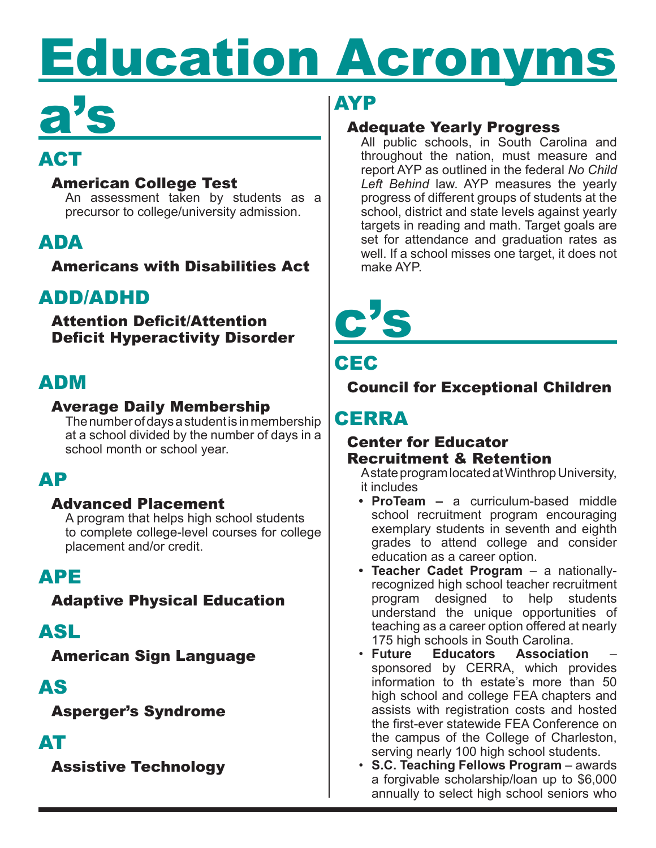# **Education Acronyms**

## a's

## ACT

#### American College Test

An assessment taken by students as a precursor to college/university admission.

## ADA

Americans with Disabilities Act

## ADD/ADHD

Attention Deficit/Attention Deficit Hyperactivity Disorder

## ADM

#### Average Daily Membership

The number of days a student is in membership at a school divided by the number of days in a school month or school year.

## AP

#### Advanced Placement

A program that helps high school students to complete college-level courses for college placement and/or credit.

## APE

Adaptive Physical Education

## ASL

American Sign Language

## AS

Asperger's Syndrome

## AT

Assistive Technology

## AYP

#### Adequate Yearly Progress

All public schools, in South Carolina and throughout the nation, must measure and report AYP as outlined in the federal *No Child Left Behind* law. AYP measures the yearly progress of different groups of students at the school, district and state levels against yearly targets in reading and math. Target goals are set for attendance and graduation rates as well. If a school misses one target, it does not make AYP.



## **CEC**

Council for Exceptional Children

## **CERRA**

#### Center for Educator Recruitment & Retention

A state program located at Winthrop University, it includes

- **• ProTeam –** a curriculum-based middle school recruitment program encouraging exemplary students in seventh and eighth grades to attend college and consider education as a career option.
- **• Teacher Cadet Program** a nationallyrecognized high school teacher recruitment program designed to help students understand the unique opportunities of teaching as a career option offered at nearly 175 high schools in South Carolina.<br>• Future Educators Association
- **Educators Association** sponsored by CERRA, which provides information to th estate's more than 50 high school and college FEA chapters and assists with registration costs and hosted the first-ever statewide FEA Conference on the campus of the College of Charleston, serving nearly 100 high school students.
- • **S.C. Teaching Fellows Program** awards a forgivable scholarship/loan up to \$6,000 annually to select high school seniors who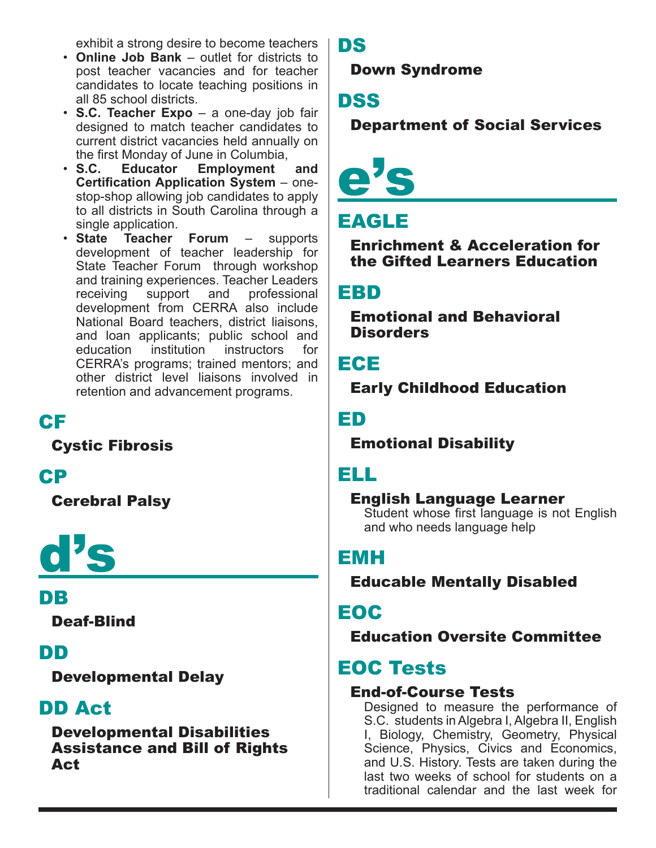exhibit a strong desire to become teachers

- • **Online Job Bank** outlet for districts to post teacher vacancies and for teacher candidates to locate teaching positions in all 85 school districts.
- • **S.C. Teacher Expo** a one-day job fair designed to match teacher candidates to current district vacancies held annually on the first Monday of June in Columbia,<br>• S.C. Educator Employment
- **Educator Employment and Certification Application System** – onestop-shop allowing job candidates to apply to all districts in South Carolina through a single application.
- • **State Teacher Forum** supports development of teacher leadership for State Teacher Forum through workshop and training experiences. Teacher Leaders receiving support and professional development from CERRA also include National Board teachers, district liaisons, and loan applicants; public school and education institution instructors for CERRA's programs; trained mentors; and other district level liaisons involved in retention and advancement programs.

#### CF

Cystic Fibrosis

#### CP

Cerebral Palsy

## d's

#### DB

Deaf-Blind

#### DD

Developmental Delay

## DD Act

Developmental Disabilities Assistance and Bill of Rights Act

#### DS

Down Syndrome

## DSS

Department of Social Services



## EAGLE

Enrichment & Acceleration for the Gifted Learners Education

#### EBD

Emotional and Behavioral **Disorders** 

#### ECE

Early Childhood Education

ED

#### Emotional Disability

## ELL

#### English Language Learner

Student whose first language is not English and who needs language help

## EMH

Educable Mentally Disabled

#### EOC

Education Oversite Committee

## EOC Tests

#### End-of-Course Tests

Designed to measure the performance of S.C. students in Algebra I, Algebra II, English I, Biology, Chemistry, Geometry, Physical Science, Physics, Civics and Economics, and U.S. History. Tests are taken during the last two weeks of school for students on a traditional calendar and the last week for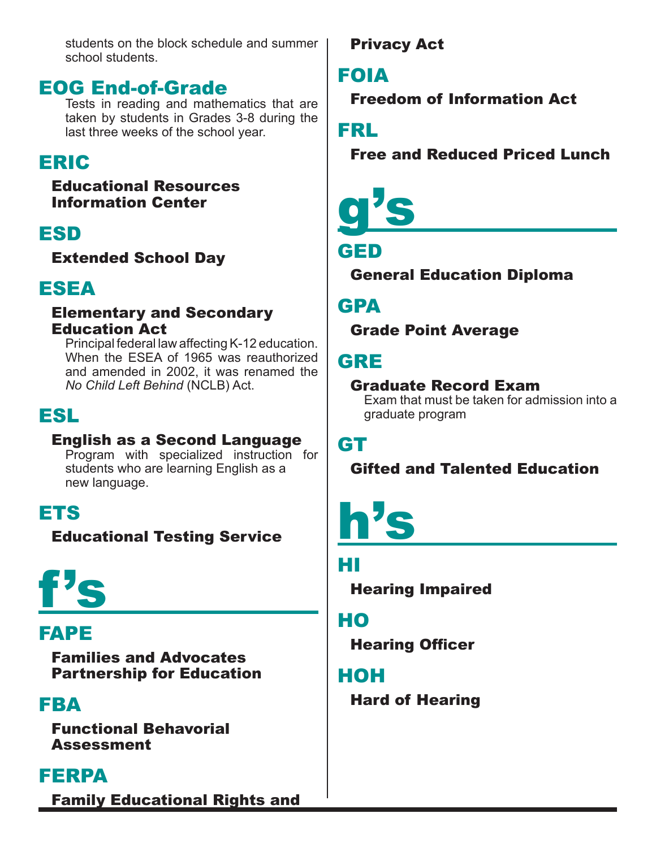students on the block schedule and summer school students.

#### EOG End-of-Grade

Tests in reading and mathematics that are taken by students in Grades 3-8 during the last three weeks of the school year.

## ERIC

#### Educational Resources Information Center

## ESD

Extended School Day

## ESEA

#### Elementary and Secondary Education Act

Principal federal law affecting K-12 education. When the ESEA of 1965 was reauthorized and amended in 2002, it was renamed the *No Child Left Behind* (NCLB) Act.

## ESL

#### English as a Second Language

Program with specialized instruction for students who are learning English as a new language.

## ETS

Educational Testing Service

## f's

## FAPE

Families and Advocates Partnership for Education

## FBA

Functional Behavorial Assessment

## FERPA

Family Educational Rights and

Privacy Act

## FOIA

Freedom of Information Act

FRL

Free and Reduced Priced Lunch

# g's

## GED

General Education Diploma

## GPA

Grade Point Average

## GRE

#### Graduate Record Exam

Exam that must be taken for admission into a graduate program

## GT

#### Gifted and Talented Education

## h's

#### HI

Hearing Impaired

## HO

Hearing Officer

## HOH

Hard of Hearing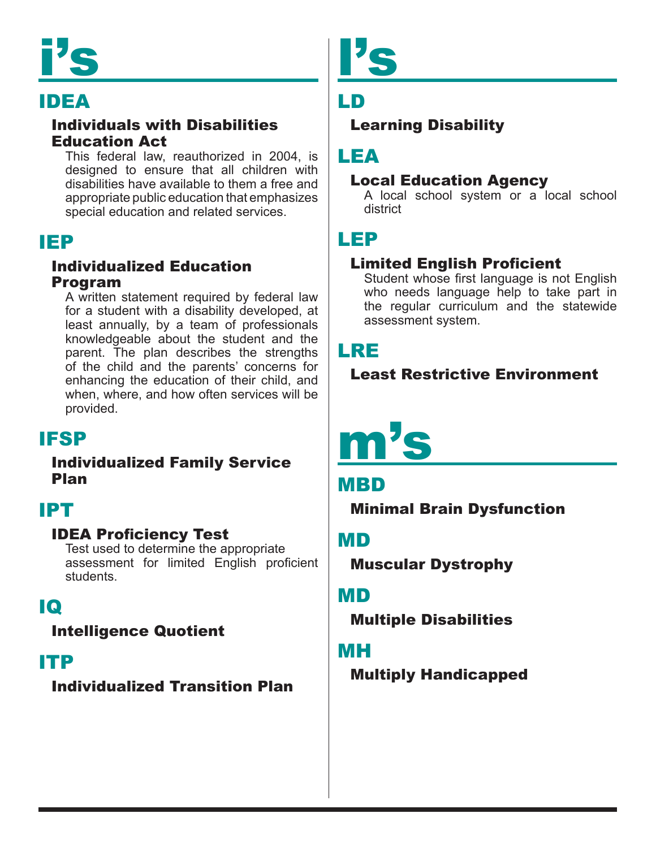# i's

## IDEA

#### Individuals with Disabilities Education Act

This federal law, reauthorized in 2004, is designed to ensure that all children with disabilities have available to them a free and appropriate public education that emphasizes special education and related services.

#### IEP

#### Individualized Education Program

A written statement required by federal law for a student with a disability developed, at least annually, by a team of professionals knowledgeable about the student and the parent. The plan describes the strengths of the child and the parents' concerns for enhancing the education of their child, and when, where, and how often services will be provided.

## IFSP

#### Individualized Family Service Plan

## IPT

#### IDEA Proficiency Test

Test used to determine the appropriate assessment for limited English proficient students.

## IQ

#### Intelligence Quotient

#### ITP

#### Individualized Transition Plan



## LD

#### Learning Disability

#### LEA

#### Local Education Agency

A local school system or a local school district

## LEP

#### Limited English Proficient

Student whose first language is not English who needs language help to take part in the regular curriculum and the statewide assessment system.

#### LRE

#### Least Restrictive Environment

## m's

#### MBD

Minimal Brain Dysfunction

#### MD

Muscular Dystrophy

#### MD

Multiple Disabilities

#### MH

Multiply Handicapped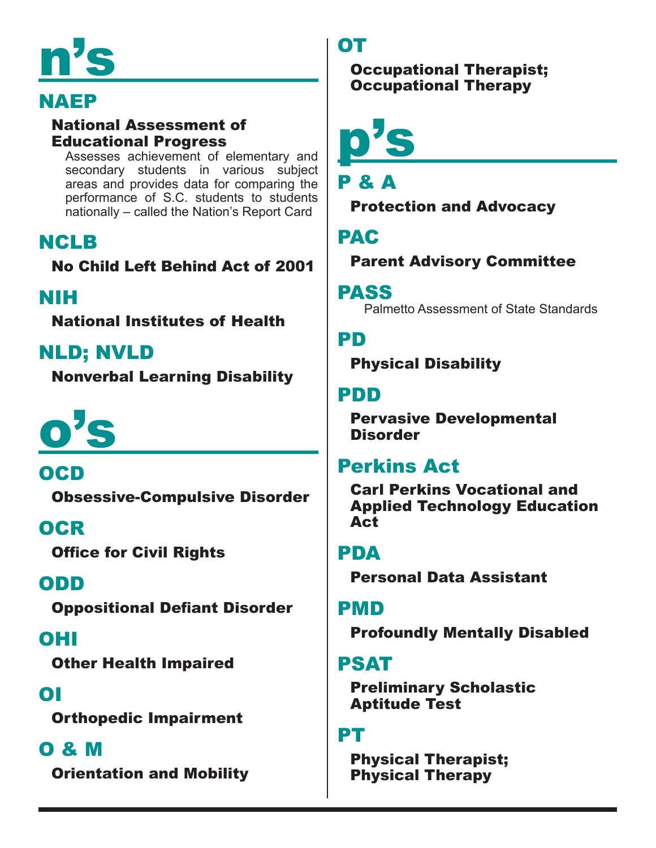# n's

## NAEP

#### National Assessment of Educational Progress

Assesses achievement of elementary and secondary students in various subject areas and provides data for comparing the performance of S.C. students to students nationally – called the Nation's Report Card

## NCLB

No Child Left Behind Act of 2001

## NIH

National Institutes of Health

## NLD; NVLD

Nonverbal Learning Disability

# o's

OCD Obsessive-Compulsive Disorder

## **OCR**

Office for Civil Rights

## ODD

Oppositional Defiant Disorder

## OHI

Other Health Impaired

## OI

Orthopedic Impairment

## O & M

Orientation and Mobility

## OT

Occupational Therapist; Occupational Therapy

p's

## P & A

Protection and Advocacy

## PAC

Parent Advisory Committee

#### PASS

Palmetto Assessment of State Standards

## PD

Physical Disability

## PDD

Pervasive Developmental **Disorder** 

## Perkins Act

Carl Perkins Vocational and Applied Technology Education Act

## PDA

Personal Data Assistant

## PMD

Profoundly Mentally Disabled

## PSAT

Preliminary Scholastic Aptitude Test

## PT

Physical Therapist; Physical Therapy